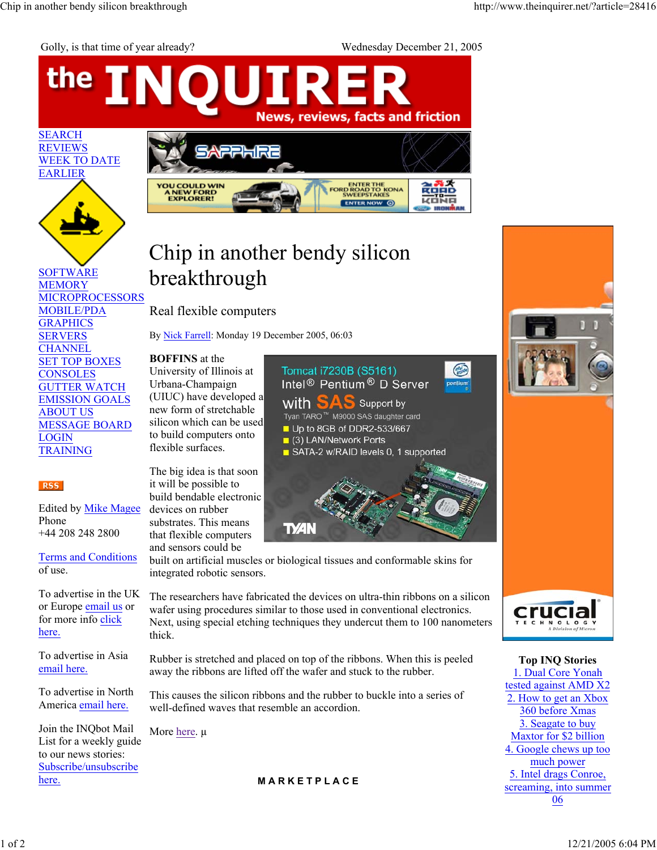Golly, is that time of year already? Wednesday December 21, 2005

## the OUIRE **IN** News, reviews, facts and friction SEARCH **REVIEWS** WEEK TO DATE EARLIER **YOU COULD WIN<br>A NEW FORD<br>EXPLORER!** ENTER THE<br>FORD ROAD TO KONA<br>SWEEPSTAKES **ENTER NOW O**

## Chip in another bendy silicon breakthrough

Real flexible computers

By Nick Farrell: Monday 19 December 2005, 06:03

## **BOFFINS** at the

University of Illinois at Urbana-Champaign (UIUC) have developed a new form of stretchable silicon which can be used to build computers onto flexible surfaces.

The big idea is that soon it will be possible to build bendable electronic devices on rubber substrates. This means that flexible computers and sensors could be

Terms and Conditions of use.

+44 208 248 2800

Edited by Mike Magee

SOFTWARE MEMORY

MOBILE/PDA GRAPHICS SERVERS **CHANNEL** SET TOP BOXES **CONSOLES** GUTTER WATCH EMISSION GOALS

ABOUT US

LOGIN TRAINING

Phone

**RSS** 

MESSAGE BOARD

MICROPROCESSORS

To advertise in the UK or Europe email us or for more info click here.

To advertise in Asia email here.

To advertise in North America email here.

Join the INQbot Mail List for a weekly guide to our news stories: Subscribe/unsubscribe here.



built on artificial muscles or biological tissues and conformable skins for integrated robotic sensors.

The researchers have fabricated the devices on ultra-thin ribbons on a silicon wafer using procedures similar to those used in conventional electronics. Next, using special etching techniques they undercut them to 100 nanometers thick.

Rubber is stretched and placed on top of the ribbons. When this is peeled away the ribbons are lifted off the wafer and stuck to the rubber.

This causes the silicon ribbons and the rubber to buckle into a series of well-defined waves that resemble an accordion.

More here. μ

**M A R K E T P L A C E**



**Top INQ Stories** 1. Dual Core Yonah tested against AMD X2 2. How to get an Xbox 360 before Xmas 3. Seagate to buy Maxtor for \$2 billion 4. Google chews up too much power 5. Intel drags Conroe, screaming, into summer 06